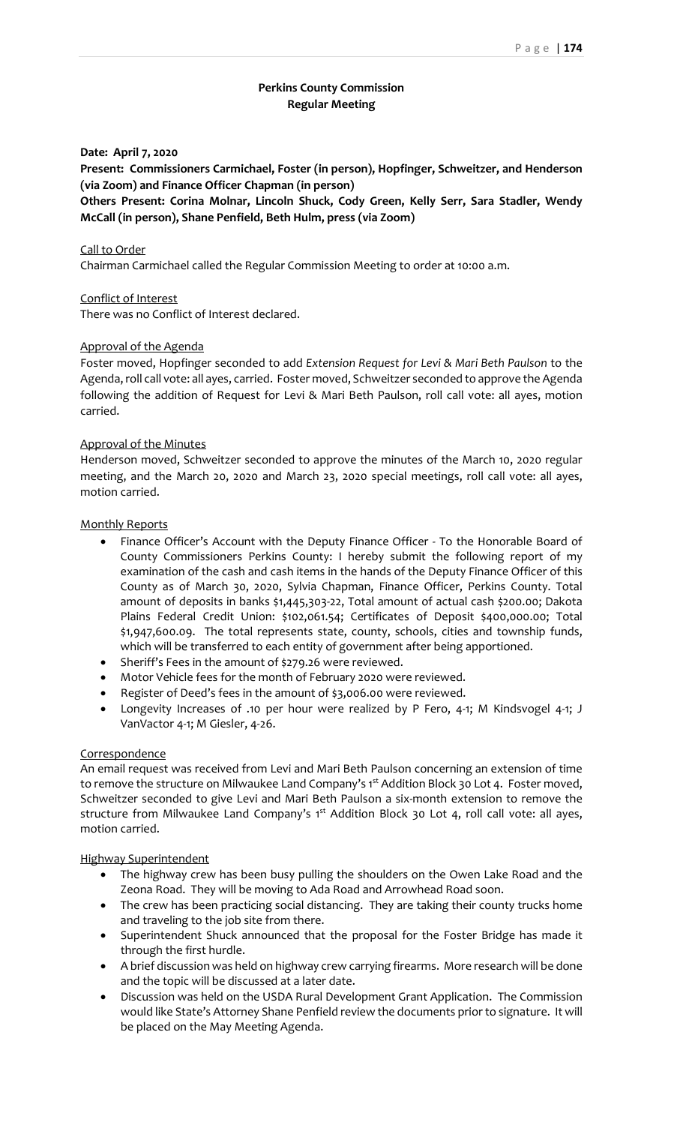# **Perkins County Commission Regular Meeting**

### **Date: April 7, 2020**

**Present: Commissioners Carmichael, Foster (in person), Hopfinger, Schweitzer, and Henderson (via Zoom) and Finance Officer Chapman (in person)**

**Others Present: Corina Molnar, Lincoln Shuck, Cody Green, Kelly Serr, Sara Stadler, Wendy McCall (in person), Shane Penfield, Beth Hulm, press (via Zoom)**

#### Call to Order

Chairman Carmichael called the Regular Commission Meeting to order at 10:00 a.m.

### Conflict of Interest

There was no Conflict of Interest declared.

### Approval of the Agenda

Foster moved, Hopfinger seconded to add *Extension Request for Levi & Mari Beth Paulson* to the Agenda, roll call vote: all ayes, carried. Foster moved, Schweitzer seconded to approve the Agenda following the addition of Request for Levi & Mari Beth Paulson, roll call vote: all ayes, motion carried.

### Approval of the Minutes

Henderson moved, Schweitzer seconded to approve the minutes of the March 10, 2020 regular meeting, and the March 20, 2020 and March 23, 2020 special meetings, roll call vote: all ayes, motion carried.

### Monthly Reports

- Finance Officer's Account with the Deputy Finance Officer To the Honorable Board of County Commissioners Perkins County: I hereby submit the following report of my examination of the cash and cash items in the hands of the Deputy Finance Officer of this County as of March 30, 2020, Sylvia Chapman, Finance Officer, Perkins County. Total amount of deposits in banks \$1,445,303-22, Total amount of actual cash \$200.00; Dakota Plains Federal Credit Union: \$102,061.54; Certificates of Deposit \$400,000.00; Total \$1,947,600.09. The total represents state, county, schools, cities and township funds, which will be transferred to each entity of government after being apportioned.
- Sheriff's Fees in the amount of \$279.26 were reviewed.
- Motor Vehicle fees for the month of February 2020 were reviewed.
- Register of Deed's fees in the amount of \$3,006.00 were reviewed.
- Longevity Increases of .10 per hour were realized by P Fero, 4-1; M Kindsvogel 4-1; J VanVactor 4-1; M Giesler, 4-26.

## **Correspondence**

An email request was received from Levi and Mari Beth Paulson concerning an extension of time to remove the structure on Milwaukee Land Company's 1st Addition Block 30 Lot 4. Foster moved, Schweitzer seconded to give Levi and Mari Beth Paulson a six-month extension to remove the structure from Milwaukee Land Company's 1st Addition Block 30 Lot 4, roll call vote: all ayes, motion carried.

#### Highway Superintendent

- The highway crew has been busy pulling the shoulders on the Owen Lake Road and the Zeona Road. They will be moving to Ada Road and Arrowhead Road soon.
- The crew has been practicing social distancing. They are taking their county trucks home and traveling to the job site from there.
- Superintendent Shuck announced that the proposal for the Foster Bridge has made it through the first hurdle.
- A brief discussion was held on highway crew carrying firearms. More research will be done and the topic will be discussed at a later date.
- Discussion was held on the USDA Rural Development Grant Application. The Commission would like State's Attorney Shane Penfield review the documents prior to signature. It will be placed on the May Meeting Agenda.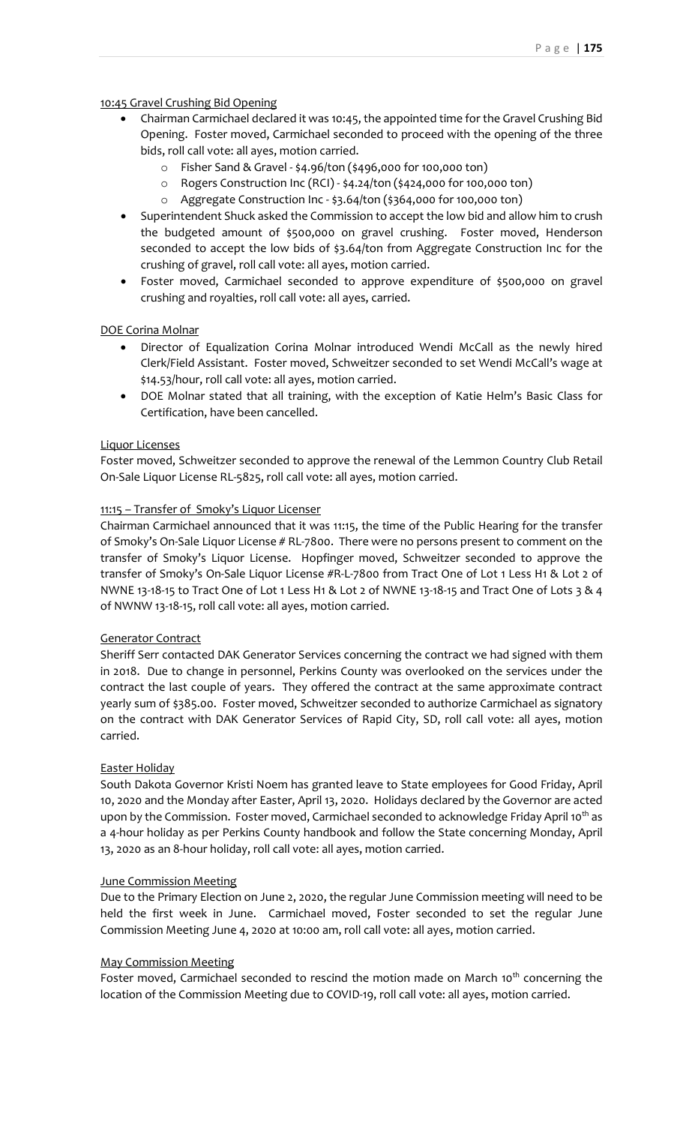# 10:45 Gravel Crushing Bid Opening

- Chairman Carmichael declared it was 10:45, the appointed time for the Gravel Crushing Bid Opening. Foster moved, Carmichael seconded to proceed with the opening of the three bids, roll call vote: all ayes, motion carried.
	- o Fisher Sand & Gravel \$4.96/ton (\$496,000 for 100,000 ton)
	- o Rogers Construction Inc (RCI) \$4.24/ton (\$424,000 for 100,000 ton)
	- o Aggregate Construction Inc \$3.64/ton (\$364,000 for 100,000 ton)
- Superintendent Shuck asked the Commission to accept the low bid and allow him to crush the budgeted amount of \$500,000 on gravel crushing. Foster moved, Henderson seconded to accept the low bids of \$3.64/ton from Aggregate Construction Inc for the crushing of gravel, roll call vote: all ayes, motion carried.
- Foster moved, Carmichael seconded to approve expenditure of \$500,000 on gravel crushing and royalties, roll call vote: all ayes, carried.

# DOE Corina Molnar

- Director of Equalization Corina Molnar introduced Wendi McCall as the newly hired Clerk/Field Assistant. Foster moved, Schweitzer seconded to set Wendi McCall's wage at \$14.53/hour, roll call vote: all ayes, motion carried.
- DOE Molnar stated that all training, with the exception of Katie Helm's Basic Class for Certification, have been cancelled.

# Liquor Licenses

Foster moved, Schweitzer seconded to approve the renewal of the Lemmon Country Club Retail On-Sale Liquor License RL-5825, roll call vote: all ayes, motion carried.

# 11:15 – Transfer of Smoky's Liquor Licenser

Chairman Carmichael announced that it was 11:15, the time of the Public Hearing for the transfer of Smoky's On-Sale Liquor License # RL-7800. There were no persons present to comment on the transfer of Smoky's Liquor License. Hopfinger moved, Schweitzer seconded to approve the transfer of Smoky's On-Sale Liquor License #R-L-7800 from Tract One of Lot 1 Less H1 & Lot 2 of NWNE 13-18-15 to Tract One of Lot 1 Less H1 & Lot 2 of NWNE 13-18-15 and Tract One of Lots 3 & 4 of NWNW 13-18-15, roll call vote: all ayes, motion carried.

## Generator Contract

Sheriff Serr contacted DAK Generator Services concerning the contract we had signed with them in 2018. Due to change in personnel, Perkins County was overlooked on the services under the contract the last couple of years. They offered the contract at the same approximate contract yearly sum of \$385.00. Foster moved, Schweitzer seconded to authorize Carmichael as signatory on the contract with DAK Generator Services of Rapid City, SD, roll call vote: all ayes, motion carried.

## Easter Holiday

South Dakota Governor Kristi Noem has granted leave to State employees for Good Friday, April 10, 2020 and the Monday after Easter, April 13, 2020. Holidays declared by the Governor are acted upon by the Commission. Foster moved, Carmichael seconded to acknowledge Friday April 10<sup>th</sup> as a 4-hour holiday as per Perkins County handbook and follow the State concerning Monday, April 13, 2020 as an 8-hour holiday, roll call vote: all ayes, motion carried.

## June Commission Meeting

Due to the Primary Election on June 2, 2020, the regular June Commission meeting will need to be held the first week in June. Carmichael moved, Foster seconded to set the regular June Commission Meeting June 4, 2020 at 10:00 am, roll call vote: all ayes, motion carried.

## May Commission Meeting

Foster moved, Carmichael seconded to rescind the motion made on March 10<sup>th</sup> concerning the location of the Commission Meeting due to COVID-19, roll call vote: all ayes, motion carried.